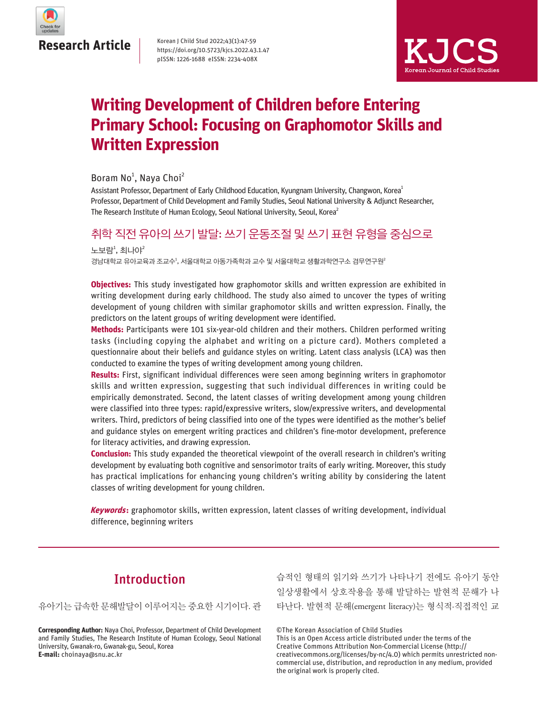

Korean J Child Stud 2022;43(1):47-59 https://doi.org/10.5723/kjcs.2022.43.1.47 pISSN: 1226-1688 eISSN: 2234-408X



# **Writing Development of Children before Entering Primary School: Focusing on Graphomotor Skills and Written Expression**

Boram No<sup>1</sup>, Naya Choi<sup>2</sup>

Assistant Professor, Department of Early Childhood Education, Kyungnam University, Changwon, Korea<sup>1</sup> Professor, Department of Child Development and Family Studies, Seoul National University & Adjunct Researcher, The Research Institute of Human Ecology, Seoul National University, Seoul, Korea<sup>2</sup>

# 취학 직전 유아의 쓰기 발달: 쓰기 운동조절 및 쓰기 표현 유형을 중심으로

경남대학교 유아교육과 조교수<sup>1</sup>, 서울대학교 아동가족학과 교수 및 서울대학교 생활과학연구소 겸무연구원<sup>2</sup> 노보람 $^{\rm 1}$ , 최나야 $^{\rm 2}$ 

**Objectives:** This study investigated how graphomotor skills and written expression are exhibited in writing development during early childhood. The study also aimed to uncover the types of writing development of young children with similar graphomotor skills and written expression. Finally, the predictors on the latent groups of writing development were identified.

**Methods:** Participants were 101 six-year-old children and their mothers. Children performed writing tasks (including copying the alphabet and writing on a picture card). Mothers completed a questionnaire about their beliefs and guidance styles on writing. Latent class analysis (LCA) was then conducted to examine the types of writing development among young children.

**Results:** First, significant individual differences were seen among beginning writers in graphomotor skills and written expression, suggesting that such individual differences in writing could be empirically demonstrated. Second, the latent classes of writing development among young children were classified into three types: rapid/expressive writers, slow/expressive writers, and developmental writers. Third, predictors of being classified into one of the types were identified as the mother's belief and guidance styles on emergent writing practices and children's fine-motor development, preference for literacy activities, and drawing expression.

**Conclusion:** This study expanded the theoretical viewpoint of the overall research in children's writing development by evaluating both cognitive and sensorimotor traits of early writing. Moreover, this study has practical implications for enhancing young children's writing ability by considering the latent classes of writing development for young children.

**Keywords:** graphomotor skills, written expression, latent classes of writing development, individual difference, beginning writers

# Introduction

유아기는 급속한 문해발달이 이루어지는 중요한 시기이다. 관

**Corresponding Author:** Naya Choi, Professor, Department of Child Development and Family Studies, The Research Institute of Human Ecology, Seoul National University, Gwanak-ro, Gwanak-gu, Seoul, Korea **E-mail:** choinaya@snu.ac.kr

습적인 형태의 읽기와 쓰기가 나타나기 전에도 유아기 동안 일상생활에서 상호작용을 통해 발달하는 발현적 문해가 나 타난다. 발현적 문해(emergent literacy)는 형식적·직접적인 교

©The Korean Association of Child Studies

This is an Open Access article distributed under the terms of the Creative Commons Attribution Non-Commercial License (http:// creativecommons.org/licenses/by-nc/4.0) which permits unrestricted noncommercial use, distribution, and reproduction in any medium, provided the original work is properly cited.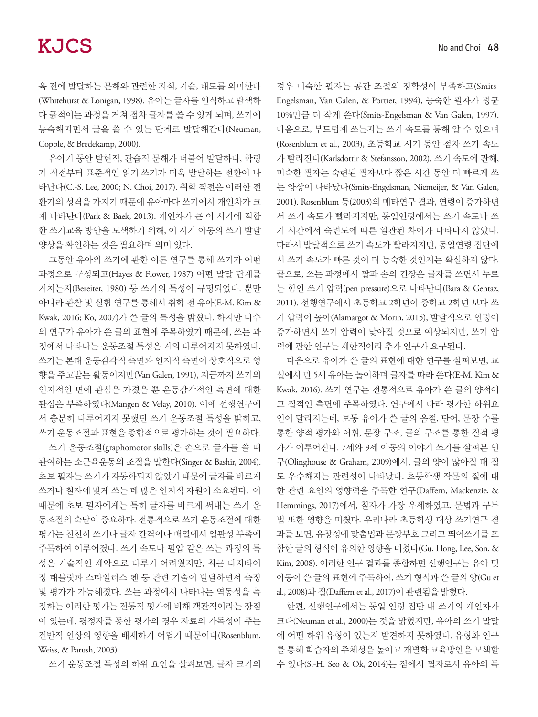육 전에 발달하는 문해와 관련한 지식, 기술, 태도를 의미한다 (Whitehurst & Lonigan, 1998). 유아는 글자를 인식하고 탐색하 다 긁적이는 과정을 거쳐 점차 글자를 쓸 수 있게 되며, 쓰기에 능숙해지면서 글을 쓸 수 있는 단계로 발달해간다(Neuman, Copple, & Bredekamp, 2000).

유아기 동안 발현적, 관습적 문해가 더불어 발달하다, 학령 기 직전부터 표준적인 읽기·쓰기가 더욱 발달하는 전환이 나 타난다(C.-S. Lee, 2000; N. Choi, 2017). 취학 직전은 이러한 전 환기의 성격을 가지기 때문에 유아마다 쓰기에서 개인차가 크 게 나타난다(Park & Baek, 2013). 개인차가 큰 이 시기에 적합 한 쓰기교육 방안을 모색하기 위해, 이 시기 아동의 쓰기 발달 양상을 확인하는 것은 필요하며 의미 있다.

그동안 유아의 쓰기에 관한 이론 연구를 통해 쓰기가 어떤 과정으로 구성되고(Hayes & Flower, 1987) 어떤 발달 단계를 거치는지(Bereiter, 1980) 등 쓰기의 특성이 규명되었다. 뿐만 아니라 관찰 및 실험 연구를 통해서 취학 전 유아(E-M. Kim & Kwak, 2016; Ko, 2007)가 쓴 글의 특성을 밝혔다. 하지만 다수 의 연구가 유아가 쓴 글의 표현에 주목하였기 때문에, 쓰는 과 정에서 나타나는 운동조절 특성은 거의 다루어지지 못하였다. 쓰기는 본래 운동감각적 측면과 인지적 측면이 상호적으로 영 향을 주고받는 활동이지만(Van Galen, 1991), 지금까지 쓰기의 인지적인 면에 관심을 가졌을 뿐 운동감각적인 측면에 대한 관심은 부족하였다(Mangen & Velay, 2010). 이에 선행연구에 서 충분히 다루어지지 못했던 쓰기 운동조절 특성을 밝히고, 쓰기 운동조절과 표현을 종합적으로 평가하는 것이 필요하다.

쓰기 운동조절(graphomotor skills)은 손으로 글자를 쓸 때 관여하는 소근육운동의 조절을 말한다(Singer & Bashir, 2004). 초보 필자는 쓰기가 자동화되지 않았기 때문에 글자를 바르게 쓰거나 철자에 맞게 쓰는 데 많은 인지적 자원이 소요된다. 이 때문에 초보 필자에게는 특히 글자를 바르게 써내는 쓰기 운 동조절의 숙달이 중요하다. 전통적으로 쓰기 운동조절에 대한 평가는 천천히 쓰기나 글자 간격이나 배열에서 일관성 부족에 주목하여 이루어졌다. 쓰기 속도나 필압 같은 쓰는 과정의 특 성은 기술적인 제약으로 다루기 어려웠지만, 최근 디지타이 징 태블릿과 스타일러스 펜 등 관련 기술이 발달하면서 측정 및 평가가 가능해졌다. 쓰는 과정에서 나타나는 역동성을 측 정하는 이러한 평가는 전통적 평가에 비해 객관적이라는 장점 이 있는데, 평정자를 통한 평가의 경우 자료의 가독성이 주는 전반적 인상의 영향을 배제하기 어렵기 때문이다(Rosenblum, Weiss, & Parush, 2003).

쓰기 운동조절 특성의 하위 요인을 살펴보면, 글자 크기의

경우 미숙한 필자는 공간 조절의 정확성이 부족하고(Smits-Engelsman, Van Galen, & Portier, 1994), 능숙한 필자가 평균 10%만큼 더 작게 쓴다(Smits-Engelsman & Van Galen, 1997). 다음으로, 부드럽게 쓰는지는 쓰기 속도를 통해 알 수 있으며 (Rosenblum et al., 2003), 초등학교 시기 동안 점차 쓰기 속도 가 빨라진다(Karlsdottir & Stefansson, 2002). 쓰기 속도에 관해, 미숙한 필자는 숙련된 필자보다 짧은 시간 동안 더 빠르게 쓰 는 양상이 나타났다(Smits-Engelsman, Niemeijer, & Van Galen, 2001). Rosenblum 등(2003)의 메타연구 결과, 연령이 증가하면 서 쓰기 속도가 빨라지지만, 동일연령에서는 쓰기 속도나 쓰 기 시간에서 숙련도에 따른 일관된 차이가 나타나지 않았다. 따라서 발달적으로 쓰기 속도가 빨라지지만, 동일연령 집단에 서 쓰기 속도가 빠른 것이 더 능숙한 것인지는 확실하지 않다. 끝으로, 쓰는 과정에서 팔과 손의 긴장은 글자를 쓰면서 누르 는 힘인 쓰기 압력(pen pressure)으로 나타난다(Bara & Gentaz, 2011). 선행연구에서 초등학교 2학년이 중학교 2학년 보다 쓰 기 압력이 높아(Alamargot & Morin, 2015), 발달적으로 연령이 증가하면서 쓰기 압력이 낮아질 것으로 예상되지만, 쓰기 압 력에 관한 연구는 제한적이라 추가 연구가 요구된다.

다음으로 유아가 쓴 글의 표현에 대한 연구를 살펴보면, 교 실에서 만 5세 유아는 놀이하며 글자를 따라 쓴다(E-M. Kim & Kwak, 2016). 쓰기 연구는 전통적으로 유아가 쓴 글의 양적이 고 질적인 측면에 주목하였다. 연구에서 따라 평가한 하위요 인이 달라지는데, 보통 유아가 쓴 글의 음절, 단어, 문장 수를 통한 양적 평가와 어휘, 문장 구조, 글의 구조를 통한 질적 평 가가 이루어진다. 7세와 9세 아동의 이야기 쓰기를 살펴본 연 구(Olinghouse & Graham, 2009)에서, 글의 양이 많아질 때 질 도 우수해지는 관련성이 나타났다. 초등학생 작문의 질에 대 한 관련 요인의 영향력을 주목한 연구(Daffern, Mackenzie, & Hemmings, 2017)에서, 철자가 가장 우세하였고, 문법과 구두 법 또한 영향을 미쳤다. 우리나라 초등학생 대상 쓰기연구 결 과를 보면, 유창성에 맞춤법과 문장부호 그리고 띄어쓰기를 포 함한 글의 형식이 유의한 영향을 미쳤다(Gu, Hong, Lee, Son, & Kim, 2008). 이러한 연구 결과를 종합하면 선행연구는 유아 및 아동이 쓴 글의 표현에 주목하여, 쓰기 형식과 쓴 글의 양(Gu et al., 2008)과 질(Daffern et al., 2017)이 관련됨을 밝혔다.

한편, 선행연구에서는 동일 연령 집단 내 쓰기의 개인차가 크다(Neuman et al., 2000)는 것을 밝혔지만, 유아의 쓰기 발달 에 어떤 하위 유형이 있는지 발견하지 못하였다. 유형화 연구 를 통해 학습자의 주체성을 높이고 개별화 교육방안을 모색할 수 있다(S.-H. Seo & Ok, 2014)는 점에서 필자로서 유아의 특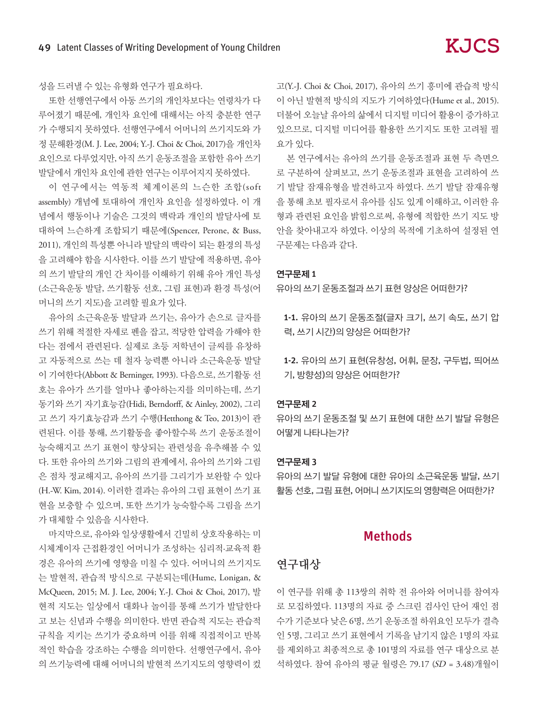성을 드러낼 수 있는 유형화 연구가 필요하다.

또한 선행연구에서 아동 쓰기의 개인차보다는 연령차가 다 루어졌기 때문에, 개인차 요인에 대해서는 아직 충분한 연구 가 수행되지 못하였다. 선행연구에서 어머니의 쓰기지도와 가 정 문해환경(M. J. Lee, 2004; Y.-J. Choi & Choi, 2017)을 개인차 요인으로 다루었지만, 아직 쓰기 운동조절을 포함한 유아 쓰기 발달에서 개인차 요인에 관한 연구는 이루어지지 못하였다.

이 연구에서는 역동적 체계이론의 느슨한 조합(soft assembly) 개념에 토대하여 개인차 요인을 설정하였다. 이 개 념에서 행동이나 기술은 그것의 맥락과 개인의 발달사에 토 대하여 느슨하게 조합되기 때문에(Spencer, Perone, & Buss, 2011), 개인의 특성뿐 아니라 발달의 맥락이 되는 환경의 특성 을 고려해야 함을 시사한다. 이를 쓰기 발달에 적용하면, 유아 의 쓰기 발달의 개인 간 차이를 이해하기 위해 유아 개인 특성 (소근육운동 발달, 쓰기활동 선호, 그림 표현)과 환경 특성(어 머니의 쓰기 지도)을 고려할 필요가 있다.

유아의 소근육운동 발달과 쓰기는, 유아가 손으로 글자를 쓰기 위해 적절한 자세로 펜을 잡고, 적당한 압력을 가해야 한 다는 점에서 관련된다. 실제로 초등 저학년이 글씨를 유창하 고 자동적으로 쓰는 데 철자 능력뿐 아니라 소근육운동 발달 이 기여한다(Abbott & Berninger, 1993). 다음으로, 쓰기활동 선 호는 유아가 쓰기를 얼마나 좋아하는지를 의미하는데, 쓰기 동기와 쓰기 자기효능감(Hidi, Berndorff, & Ainley, 2002), 그리 고 쓰기 자기효능감과 쓰기 수행(Hetthong & Teo, 2013)이 관 련된다. 이를 통해, 쓰기활동을 좋아할수록 쓰기 운동조절이 능숙해지고 쓰기 표현이 향상되는 관련성을 유추해볼 수 있 다. 또한 유아의 쓰기와 그림의 관계에서, 유아의 쓰기와 그림 은 점차 정교해지고, 유아의 쓰기를 그리기가 보완할 수 있다 (H.-W. Kim, 2014). 이러한 결과는 유아의 그림 표현이 쓰기 표 현을 보충할 수 있으며, 또한 쓰기가 능숙할수록 그림을 쓰기 가 대체할 수 있음을 시사한다.

마지막으로, 유아와 일상생활에서 긴밀히 상호작용하는 미 시체계이자 근접환경인 어머니가 조성하는 심리적·교육적 환 경은 유아의 쓰기에 영향을 미칠 수 있다. 어머니의 쓰기지도 는 발현적, 관습적 방식으로 구분되는데(Hume, Lonigan, & McQueen, 2015; M. J. Lee, 2004; Y.-J. Choi & Choi, 2017), 발 현적 지도는 일상에서 대화나 놀이를 통해 쓰기가 발달한다 고 보는 신념과 수행을 의미한다. 반면 관습적 지도는 관습적 규칙을 지키는 쓰기가 중요하며 이를 위해 직접적이고 반복 적인 학습을 강조하는 수행을 의미한다. 선행연구에서, 유아 의 쓰기능력에 대해 어머니의 발현적 쓰기지도의 영향력이 컸

고(Y.-J. Choi & Choi, 2017), 유아의 쓰기 흥미에 관습적 방식 이 아닌 발현적 방식의 지도가 기여하였다(Hume et al., 2015). 더불어 오늘날 유아의 삶에서 디지털 미디어 활용이 증가하고 있으므로, 디지털 미디어를 활용한 쓰기지도 또한 고려될 필 요가 있다.

본 연구에서는 유아의 쓰기를 운동조절과 표현 두 측면으 로 구분하여 살펴보고, 쓰기 운동조절과 표현을 고려하여 쓰 기 발달 잠재유형을 발견하고자 하였다. 쓰기 발달 잠재유형 을 통해 초보 필자로서 유아를 심도 있게 이해하고, 이러한 유 형과 관련된 요인을 밝힘으로써, 유형에 적합한 쓰기 지도 방 안을 찾아내고자 하였다. 이상의 목적에 기초하여 설정된 연 구문제는 다음과 같다.

#### 연구문제 1

유아의 쓰기 운동조절과 쓰기 표현 양상은 어떠한가?

1-1. 유아의 쓰기 운동조절(글자 크기, 쓰기 속도, 쓰기 압 력, 쓰기 시간)의 양상은 어떠한가?

1-2. 유아의 쓰기 표현(유창성, 어휘, 문장, 구두법, 띄어쓰 기, 방향성)의 양상은 어떠한가?

#### 연구문제 2

유아의 쓰기 운동조절 및 쓰기 표현에 대한 쓰기 발달 유형은 어떻게 나타나는가?

#### 연구문제 3

유아의 쓰기 발달 유형에 대한 유아의 소근육운동 발달, 쓰기 활동 선호, 그림 표현, 어머니 쓰기지도의 영향력은 어떠한가?

### Methods

### 연구대상

이 연구를 위해 총 113쌍의 취학 전 유아와 어머니를 참여자 로 모집하였다. 113명의 자료 중 스크린 검사인 단어 재인 점 수가 기준보다 낮은 6명, 쓰기 운동조절 하위요인 모두가 결측 인 5명, 그리고 쓰기 표현에서 기록을 남기지 않은 1명의 자료 를 제외하고 최종적으로 총 101명의 자료를 연구 대상으로 분 석하였다. 참여 유아의 평균 월령은 79.17 (SD = 3.48)개월이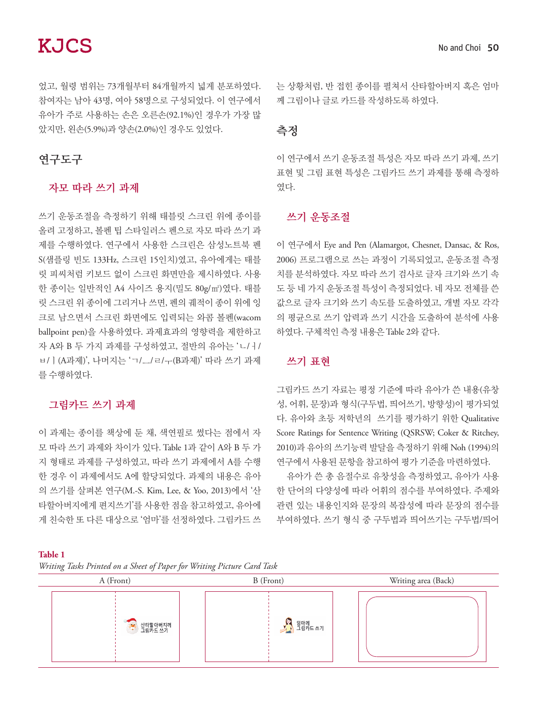었고, 월령 범위는 73개월부터 84개월까지 넓게 분포하였다. 참여자는 남아 43명, 여아 58명으로 구성되었다. 이 연구에서 유아가 주로 사용하는 손은 오른손(92.1%)인 경우가 가장 많 았지만, 왼손(5.9%)과 양손(2.0%)인 경우도 있었다.

# 연구도구

### 자모 따라 쓰기 과제

쓰기 운동조절을 측정하기 위해 태블릿 스크린 위에 종이를 올려 고정하고, 볼펜 팁 스타일러스 펜으로 자모 따라 쓰기 과 제를 수행하였다. 연구에서 사용한 스크린은 삼성노트북 펜 S(샘플링 빈도 133Hz, 스크린 15인치)였고, 유아에게는 태블 릿 피씨처럼 키보드 없이 스크린 화면만을 제시하였다. 사용 한 종이는 일반적인 A4 사이즈 용지(밀도 80g/㎡)였다. 태블 릿 스크린 위 종이에 그리거나 쓰면, 펜의 궤적이 종이 위에 잉 크로 남으면서 스크린 화면에도 입력되는 와콤 볼펜(wacom ballpoint pen)을 사용하였다. 과제효과의 영향력을 제한하고 자 A와 B 두 가지 과제를 구성하였고, 절반의 유아는 'ㄴ/ㅓ/ ㅂ/ㅣ(A과제)', 나머지는 'ㄱ/ㅡ/ㄹ/ㅜ(B과제)' 따라 쓰기 과제 를 수행하였다.

## 그림카드 쓰기 과제

이 과제는 종이를 책상에 둔 채, 색연필로 썼다는 점에서 자 모 따라 쓰기 과제와 차이가 있다. Table 1과 같이 A와 B 두 가 지 형태로 과제를 구성하였고, 따라 쓰기 과제에서 A를 수행 한 경우 이 과제에서도 A에 할당되었다. 과제의 내용은 유아 의 쓰기를 살펴본 연구(M.-S. Kim, Lee, & Yoo, 2013)에서 '산 타할아버지에게 편지쓰기'를 사용한 점을 참고하였고, 유아에 게 친숙한 또 다른 대상으로 '엄마'를 선정하였다. 그림카드 쓰

는 상황처럼, 반 접힌 종이를 펼쳐서 산타할아버지 혹은 엄마 께 그림이나 글로 카드를 작성하도록 하였다.

## 측정

이 연구에서 쓰기 운동조절 특성은 자모 따라 쓰기 과제, 쓰기 표현 및 그림 표현 특성은 그림카드 쓰기 과제를 통해 측정하 였다.

## 쓰기 운동조절

이 연구에서 Eye and Pen (Alamargot, Chesnet, Dansac, & Ros, 2006) 프로그램으로 쓰는 과정이 기록되었고, 운동조절 측정 치를 분석하였다. 자모 따라 쓰기 검사로 글자 크기와 쓰기 속 도 등 네 가지 운동조절 특성이 측정되었다. 네 자모 전체를 쓴 값으로 글자 크기와 쓰기 속도를 도출하였고, 개별 자모 각각 의 평균으로 쓰기 압력과 쓰기 시간을 도출하여 분석에 사용 하였다. 구체적인 측정 내용은 Table 2와 같다.

## 쓰기 표현

그림카드 쓰기 자료는 평정 기준에 따라 유아가 쓴 내용(유창 성, 어휘, 문장)과 형식(구두법, 띄어쓰기, 방향성)이 평가되었 다. 유아와 초등 저학년의 쓰기를 평가하기 위한 Qualitative Score Ratings for Sentence Writing (QSRSW; Coker & Ritchey, 2010)과 유아의 쓰기능력 발달을 측정하기 위해 Noh (1994)의 연구에서 사용된 문항을 참고하여 평가 기준을 마련하였다.

유아가 쓴 총 음절수로 유창성을 측정하였고, 유아가 사용 한 단어의 다양성에 따라 어휘의 점수를 부여하였다. 주제와 관련 있는 내용인지와 문장의 복잡성에 따라 문장의 점수를 부여하였다. 쓰기 형식 중 구두법과 띄어쓰기는 구두법/띄어

#### **Table 1**

*Writing Tasks Printed on a Sheet of Paper for Writing Picture Card Task*

| $\circ$<br>J I J<br>A (Front) | $\circ$<br>B (Front) | Writing area (Back) |
|-------------------------------|----------------------|---------------------|
| 아이 산타할아버지께<br>그림카드 쓰기         | 엄마께<br>그림카드 쓰기       |                     |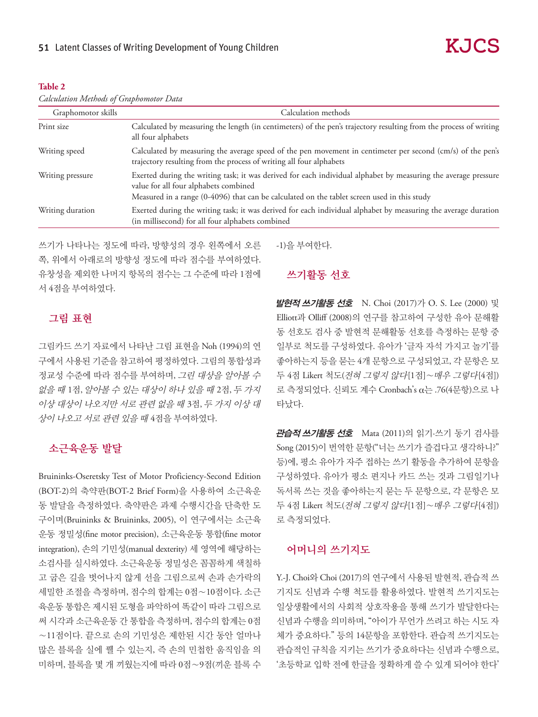#### **Table 2**

| Calculation Methods of Graphomotor Data |  |  |  |
|-----------------------------------------|--|--|--|
|-----------------------------------------|--|--|--|

| Graphomotor skills | Calculation methods                                                                                                                                                                                                                                    |  |  |  |  |  |
|--------------------|--------------------------------------------------------------------------------------------------------------------------------------------------------------------------------------------------------------------------------------------------------|--|--|--|--|--|
| Print size         | Calculated by measuring the length (in centimeters) of the pen's trajectory resulting from the process of writing<br>all four alphabets                                                                                                                |  |  |  |  |  |
| Writing speed      | Calculated by measuring the average speed of the pen movement in centimeter per second (cm/s) of the pen's<br>trajectory resulting from the process of writing all four alphabets                                                                      |  |  |  |  |  |
| Writing pressure   | Exerted during the writing task; it was derived for each individual alphabet by measuring the average pressure<br>value for all four alphabets combined<br>Measured in a range (0-4096) that can be calculated on the tablet screen used in this study |  |  |  |  |  |
| Writing duration   | Exerted during the writing task; it was derived for each individual alphabet by measuring the average duration<br>(in millisecond) for all four alphabets combined                                                                                     |  |  |  |  |  |

쓰기가 나타나는 정도에 따라, 방향성의 경우 왼쪽에서 오른 쪽, 위에서 아래로의 방향성 정도에 따라 점수를 부여하였다. 유창성을 제외한 나머지 항목의 점수는 그 수준에 따라 1점에 서 4점을 부여하였다.

### 그림 표현

그림카드 쓰기 자료에서 나타난 그림 표현을 Noh (1994)의 연 구에서 사용된 기준을 참고하여 평정하였다. 그림의 통합성과 정교성 수준에 따라 점수를 부여하며, 그린 대상을 알아볼 수 없을 때 1점, 알아볼 수 있는 대상이 하나 있을 때 2점, 두 가지 이상 대상이 나오지만 서로 관련 없을 때 3점, 두 가지 이상 대 상이 나오고 서로 관련 있을 때 4점을 부여하였다.

### 소근육운동 발달

Bruininks-Oseretsky Test of Motor Proficiency-Second Edition (BOT-2)의 축약판(BOT-2 Brief Form)을 사용하여 소근육운 동 발달을 측정하였다. 축약판은 과제 수행시간을 단축한 도 구이며(Bruininks & Bruininks, 2005), 이 연구에서는 소근육 운동 정밀성(fine motor precision), 소근육운동 통합(fine motor integration), 손의 기민성(manual dexterity) 세 영역에 해당하는 소검사를 실시하였다. 소근육운동 정밀성은 꼼꼼하게 색칠하 고 굽은 길을 벗어나지 않게 선을 그림으로써 손과 손가락의 세밀한 조절을 측정하며, 점수의 합계는 0점∼10점이다. 소근 육운동 통합은 제시된 도형을 파악하여 똑같이 따라 그림으로 써 시각과 소근육운동 간 통합을 측정하며, 점수의 합계는 0점 ∼11점이다. 끝으로 손의 기민성은 제한된 시간 동안 얼마나 많은 블록을 실에 꿸 수 있는지, 즉 손의 민첩한 움직임을 의 미하며, 블록을 몇 개 끼웠는지에 따라 0점∼9점(끼운 블록 수

-1)을 부여한다.

## 쓰기활동 선호

발현적 쓰기활동 선호 N. Choi (2017)가 O. S. Lee (2000) 및 Elliott과 Olliff (2008)의 연구를 참고하여 구성한 유아 문해활 동 선호도 검사 중 발현적 문해활동 선호를 측정하는 문항 중 일부로 척도를 구성하였다. 유아가 '글자 자석 가지고 놀기'를 좋아하는지 등을 묻는 4개 문항으로 구성되었고, 각 문항은 모 두 4점 Likert 척도(전혀 그렇지 않다[1점]∼매우 그렇다[4점]) 로 측정되었다. 신뢰도 계수 Cronbach's α는 .76(4문항)으로 나 타났다.

관습적 쓰기활동 선호 Mata (2011)의 읽기·쓰기 동기 검사를 Song (2015)이 번역한 문항("너는 쓰기가 즐겁다고 생각하니?" 등)에, 평소 유아가 자주 접하는 쓰기 활동을 추가하여 문항을 구성하였다. 유아가 평소 편지나 카드 쓰는 것과 그림일기나 독서록 쓰는 것을 좋아하는지 묻는 두 문항으로, 각 문항은 모 두 4점 Likert 척도(전혀 그렇지 않다[1점]∼매우 그렇다[4점]) 로 측정되었다.

#### 어머니의 쓰기지도

Y.-J. Choi와 Choi (2017)의 연구에서 사용된 발현적, 관습적 쓰 기지도 신념과 수행 척도를 활용하였다. 발현적 쓰기지도는 일상생활에서의 사회적 상호작용을 통해 쓰기가 발달한다는 신념과 수행을 의미하며, "아이가 무언가 쓰려고 하는 시도 자 체가 중요하다." 등의 14문항을 포함한다. 관습적 쓰기지도는 관습적인 규칙을 지키는 쓰기가 중요하다는 신념과 수행으로, '초등학교 입학 전에 한글을 정확하게 쓸 수 있게 되어야 한다'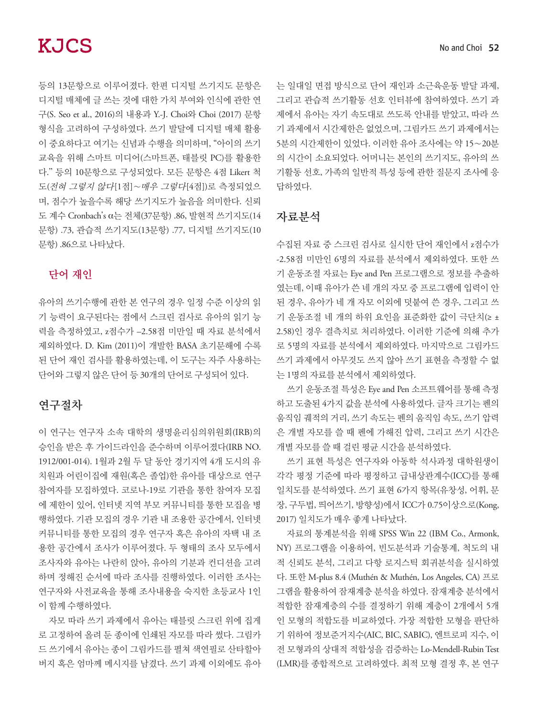등의 13문항으로 이루어졌다. 한편 디지털 쓰기지도 문항은 디지털 매체에 글 쓰는 것에 대한 가치 부여와 인식에 관한 연 구(S. Seo et al., 2016)의 내용과 Y.-J. Choi와 Choi (2017) 문항 형식을 고려하여 구성하였다. 쓰기 발달에 디지털 매체 활용 이 중요하다고 여기는 신념과 수행을 의미하며, "아이의 쓰기 교육을 위해 스마트 미디어(스마트폰, 태블릿 PC)를 활용한 다.'' 등의 10문항으로 구성되었다. 모든 문항은 4점 Likert 척 도(전혀 그렇지 않다[1점]∼매우 그렇다[4점])로 측정되었으 며, 점수가 높을수록 해당 쓰기지도가 높음을 의미한다. 신뢰 도 계수 Cronbach's α는 전체(37문항) .86, 발현적 쓰기지도(14 문항) .73, 관습적 쓰기지도(13문항) .77, 디지털 쓰기지도(10 문항) .86으로 나타났다.

# 단어 재인

유아의 쓰기수행에 관한 본 연구의 경우 일정 수준 이상의 읽 기 능력이 요구된다는 점에서 스크린 검사로 유아의 읽기 능 력을 측정하였고, z점수가 –2.58점 미만일 때 자료 분석에서 제외하였다. D. Kim (2011)이 개발한 BASA 초기문해에 수록 된 단어 재인 검사를 활용하였는데, 이 도구는 자주 사용하는 단어와 그렇지 않은 단어 등 30개의 단어로 구성되어 있다.

## 연구절차

이 연구는 연구자 소속 대학의 생명윤리심의위원회(IRB)의 승인을 받은 후 가이드라인을 준수하며 이루어졌다(IRB NO. 1912/001-014). 1월과 2월 두 달 동안 경기지역 4개 도시의 유 치원과 어린이집에 재원(혹은 졸업)한 유아를 대상으로 연구 참여자를 모집하였다. 코로나-19로 기관을 통한 참여자 모집 에 제한이 있어, 인터넷 지역 부모 커뮤니티를 통한 모집을 병 행하였다. 기관 모집의 경우 기관 내 조용한 공간에서, 인터넷 커뮤니티를 통한 모집의 경우 연구자 혹은 유아의 자택 내 조 용한 공간에서 조사가 이루어졌다. 두 형태의 조사 모두에서 조사자와 유아는 나란히 앉아, 유아의 기분과 컨디션을 고려 하며 정해진 순서에 따라 조사를 진행하였다. 이러한 조사는 연구자와 사전교육을 통해 조사내용을 숙지한 초등교사 1인 이 함께 수행하였다.

자모 따라 쓰기 과제에서 유아는 태블릿 스크린 위에 집게 로 고정하여 올려 둔 종이에 인쇄된 자모를 따라 썼다. 그림카 드 쓰기에서 유아는 종이 그림카드를 펼쳐 색연필로 산타할아 버지 혹은 엄마께 메시지를 남겼다. 쓰기 과제 이외에도 유아 는 일대일 면접 방식으로 단어 재인과 소근육운동 발달 과제, 그리고 관습적 쓰기활동 선호 인터뷰에 참여하였다. 쓰기 과 제에서 유아는 자기 속도대로 쓰도록 안내를 받았고, 따라 쓰 기 과제에서 시간제한은 없었으며, 그림카드 쓰기 과제에서는 5분의 시간제한이 있었다. 이러한 유아 조사에는 약 15∼20분 의 시간이 소요되었다. 어머니는 본인의 쓰기지도, 유아의 쓰 기활동 선호, 가족의 일반적 특성 등에 관한 질문지 조사에 응 답하였다.

## 자료분석

수집된 자료 중 스크린 검사로 실시한 단어 재인에서 z점수가 -2.58점 미만인 6명의 자료를 분석에서 제외하였다. 또한 쓰 기 운동조절 자료는 Eye and Pen 프로그램으로 정보를 추출하 였는데, 이때 유아가 쓴 네 개의 자모 중 프로그램에 입력이 안 된 경우, 유아가 네 개 자모 이외에 덧붙여 쓴 경우, 그리고 쓰 기 운동조절 네 개의 하위 요인을 표준화한 값이 극단치(≥ ± 2.58)인 경우 결측치로 처리하였다. 이러한 기준에 의해 추가 로 5명의 자료를 분석에서 제외하였다. 마지막으로 그림카드 쓰기 과제에서 아무것도 쓰지 않아 쓰기 표현을 측정할 수 없 는 1명의 자료를 분석에서 제외하였다.

쓰기 운동조절 특성은 Eye and Pen 소프트웨어를 통해 측정 하고 도출된 4가지 값을 분석에 사용하였다. 글자 크기는 펜의 움직임 궤적의 거리, 쓰기 속도는 펜의 움직임 속도, 쓰기 압력 은 개별 자모를 쓸 때 펜에 가해진 압력, 그리고 쓰기 시간은 개별 자모를 쓸 때 걸린 평균 시간을 분석하였다.

쓰기 표현 특성은 연구자와 아동학 석사과정 대학원생이 각각 평정 기준에 따라 평정하고 급내상관계수(ICC)를 통해 일치도를 분석하였다. 쓰기 표현 6가지 항목(유창성, 어휘, 문 장, 구두법, 띄어쓰기, 방향성)에서 ICC가 0.75이상으로(Kong, 2017) 일치도가 매우 좋게 나타났다.

자료의 통계분석을 위해 SPSS Win 22 (IBM Co., Armonk, NY) 프로그램을 이용하여, 빈도분석과 기술통계, 척도의 내 적 신뢰도 분석, 그리고 다항 로지스틱 회귀분석을 실시하였 다. 또한 M-plus 8.4 (Muthén & Muthén, Los Angeles, CA) 프로 그램을 활용하여 잠재계층 분석을 하였다. 잠재계층 분석에서 적합한 잠재계층의 수를 결정하기 위해 계층이 2개에서 5개 인 모형의 적합도를 비교하였다. 가장 적합한 모형을 판단하 기 위하여 정보준거지수(AIC, BIC, SABIC), 엔트로피 지수, 이 전 모형과의 상대적 적합성을 검증하는 Lo-Mendell-Rubin Test (LMR)를 종합적으로 고려하였다. 최적 모형 결정 후, 본 연구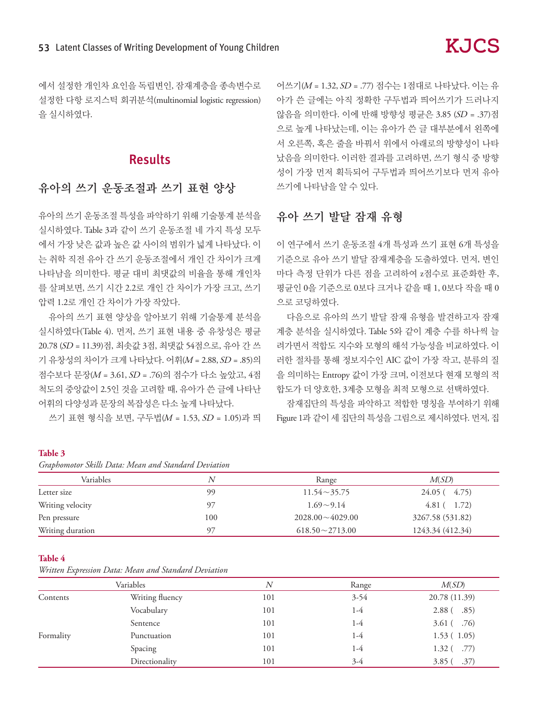# Results

# 유아의 쓰기 운동조절과 쓰기 표현 양상

유아의 쓰기 운동조절 특성을 파악하기 위해 기술통계 분석을 실시하였다. Table 3과 같이 쓰기 운동조절 네 가지 특성 모두 에서 가장 낮은 값과 높은 값 사이의 범위가 넓게 나타났다. 이 는 취학 직전 유아 간 쓰기 운동조절에서 개인 간 차이가 크게 나타남을 의미한다. 평균 대비 최댓값의 비율을 통해 개인차 를 살펴보면, 쓰기 시간 2.2로 개인 간 차이가 가장 크고, 쓰기 압력 1.2로 개인 간 차이가 가장 작았다.

유아의 쓰기 표현 양상을 알아보기 위해 기술통계 분석을 실시하였다(Table 4). 먼저, 쓰기 표현 내용 중 유창성은 평균 20.78 (SD = 11.39)점, 최솟값 3점, 최댓값 54점으로, 유아 간 쓰 기 유창성의 차이가 크게 나타났다. 어휘(M = 2.88, SD = .85)의 점수보다 문장(M = 3.61, SD = .76)의 점수가 다소 높았고, 4점 척도의 중앙값이 2.5인 것을 고려할 때, 유아가 쓴 글에 나타난 어휘의 다양성과 문장의 복잡성은 다소 높게 나타났다.

쓰기 표현 형식을 보면, 구두법(M = 1.53, SD = 1.05)과 띄

어쓰기(M = 1.32, SD = .77) 점수는 1점대로 나타났다. 이는 유 아가 쓴 글에는 아직 정확한 구두법과 띄어쓰기가 드러나지 않음을 의미한다. 이에 반해 방향성 평균은 3.85 (SD = .37)점 으로 높게 나타났는데, 이는 유아가 쓴 글 대부분에서 왼쪽에 서 오른쪽, 혹은 줄을 바꿔서 위에서 아래로의 방향성이 나타 났음을 의미한다. 이러한 결과를 고려하면, 쓰기 형식 중 방향 성이 가장 먼저 획득되어 구두법과 띄어쓰기보다 먼저 유아 쓰기에 나타남을 알 수 있다.

**KJCS** 

# 유아 쓰기 발달 잠재 유형

이 연구에서 쓰기 운동조절 4개 특성과 쓰기 표현 6개 특성을 기준으로 유아 쓰기 발달 잠재계층을 도출하였다. 먼저, 변인 마다 측정 단위가 다른 점을 고려하여 z점수로 표준화한 후, 평균인 0을 기준으로 0보다 크거나 같을 때 1, 0보다 작을 때 0 으로 코딩하였다.

다음으로 유아의 쓰기 발달 잠재 유형을 발견하고자 잠재 계층 분석을 실시하였다. Table 5와 같이 계층 수를 하나씩 늘 려가면서 적합도 지수와 모형의 해석 가능성을 비교하였다. 이 러한 절차를 통해 정보지수인 AIC 값이 가장 작고, 분류의 질 을 의미하는 Entropy 값이 가장 크며, 이전보다 현재 모형의 적 합도가 더 양호한, 3계층 모형을 최적 모형으로 선택하였다.

잠재집단의 특성을 파악하고 적합한 명칭을 부여하기 위해 Figure 1과 같이 세 집단의 특성을 그림으로 제시하였다. 먼저, 집

#### **Table 3**

| Guphomotor Skills Dulli, Intuit and Suman Devillion |     |                        |                  |  |  |  |  |
|-----------------------------------------------------|-----|------------------------|------------------|--|--|--|--|
| Variables                                           | N   | Range                  | M(SD)            |  |  |  |  |
| Letter size                                         | 99  | $11.54 \sim 35.75$     | $24.05(-4.75)$   |  |  |  |  |
| Writing velocity                                    | 97  | $1.69 \sim 9.14$       | 4.81(1.72)       |  |  |  |  |
| Pen pressure                                        | 100 | $2028.00 \sim 4029.00$ | 3267.58 (531.82) |  |  |  |  |
| Writing duration                                    | 97  | $618.50 \sim 2713.00$  | 1243.34 (412.34) |  |  |  |  |

#### **Table 4**

*Written Expression Data: Mean and Standard Deviation*

| Variables |                 | N   | Range    | M(SD)                        |  |
|-----------|-----------------|-----|----------|------------------------------|--|
| Contents  | Writing fluency | 101 | $3 - 54$ | 20.78 (11.39)                |  |
|           | Vocabulary      | 101 | 1-4      | .85)<br>2.88 <sup>°</sup>    |  |
|           | Sentence        | 101 | 1-4      | $3.61$ (.76)                 |  |
| Formality | Punctuation     | 101 | 1-4      | 1.53(1.05)                   |  |
|           | Spacing         | 101 | 1-4      | $-.77)$<br>1.32 <sub>0</sub> |  |
|           | Directionality  | 101 | $3-4$    | .37)<br>3.85(                |  |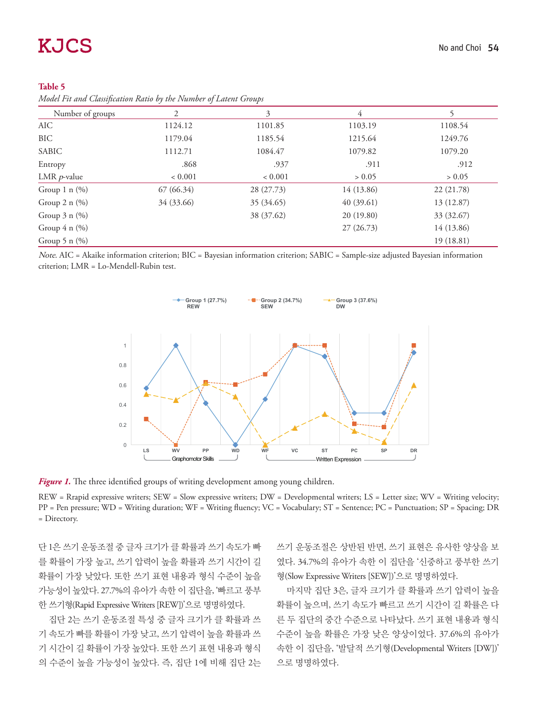| <i>Prodet Pu and Classification Ratio by the Poumber of Latent Groups</i> |            |            |            |            |  |  |  |  |
|---------------------------------------------------------------------------|------------|------------|------------|------------|--|--|--|--|
| Number of groups                                                          | 2          | 3          | 4          |            |  |  |  |  |
| AIC                                                                       | 1124.12    | 1101.85    | 1103.19    | 1108.54    |  |  |  |  |
| BIC                                                                       | 1179.04    | 1185.54    | 1215.64    | 1249.76    |  |  |  |  |
| SABIC                                                                     | 1112.71    | 1084.47    | 1079.82    | 1079.20    |  |  |  |  |
| Entropy                                                                   | .868       | .937       | .911       | .912       |  |  |  |  |
| LMR $p$ -value                                                            | < 0.001    | < 0.001    | > 0.05     | > 0.05     |  |  |  |  |
| Group 1 $n$ (%)                                                           | 67(66.34)  | 28 (27.73) | 14 (13.86) | 22 (21.78) |  |  |  |  |
| Group $2 n (\%)$                                                          | 34 (33.66) | 35 (34.65) | 40(39.61)  | 13 (12.87) |  |  |  |  |
| Group $3 \text{ n } (\%)$                                                 |            | 38 (37.62) | 20(19.80)  | 33 (32.67) |  |  |  |  |
| Group $4 n (\%)$                                                          |            |            | 27(26.73)  | 14 (13.86) |  |  |  |  |
| Group 5 n $(\%)$                                                          |            |            |            | 19(18.81)  |  |  |  |  |

| Table 5                                                           |  |  |  |
|-------------------------------------------------------------------|--|--|--|
| Model Fit and Classification Ratio by the Number of Latent Groups |  |  |  |

Note. AIC = Akaike information criterion; BIC = Bayesian information criterion; SABIC = Sample-size adjusted Bayesian information criterion; LMR = Lo-Mendell-Rubin test.



Figure 1. The three identified groups of writing development among young children.

REW = Rrapid expressive writers; SEW = Slow expressive writers; DW = Developmental writers; LS = Letter size; WV = Writing velocity; PP = Pen pressure; WD = Writing duration; WF = Writing fluency; VC = Vocabulary; ST = Sentence; PC = Punctuation; SP = Spacing; DR = Directory.

단 1은 쓰기 운동조절 중 글자 크기가 클 확률과 쓰기 속도가 빠 를 확률이 가장 높고, 쓰기 압력이 높을 확률과 쓰기 시간이 길 확률이 가장 낮았다. 또한 쓰기 표현 내용과 형식 수준이 높을 가능성이 높았다. 27.7%의 유아가 속한 이 집단을, '빠르고 풍부 한 쓰기형(Rapid Expressive Writers [REW])'으로 명명하였다.

집단 2는 쓰기 운동조절 특성 중 글자 크기가 클 확률과 쓰 기 속도가 빠를 확률이 가장 낮고, 쓰기 압력이 높을 확률과 쓰 기 시간이 길 확률이 가장 높았다. 또한 쓰기 표현 내용과 형식 의 수준이 높을 가능성이 높았다. 즉, 집단 1에 비해 집단 2는 쓰기 운동조절은 상반된 반면, 쓰기 표현은 유사한 양상을 보 였다. 34.7%의 유아가 속한 이 집단을 '신중하고 풍부한 쓰기 형(Slow Expressive Writers [SEW])'으로 명명하였다.

마지막 집단 3은, 글자 크기가 클 확률과 쓰기 압력이 높을 확률이 높으며, 쓰기 속도가 빠르고 쓰기 시간이 길 확률은 다 른 두 집단의 중간 수준으로 나타났다. 쓰기 표현 내용과 형식 수준이 높을 확률은 가장 낮은 양상이었다. 37.6%의 유아가 속한 이 집단을, '발달적 쓰기형(Developmental Writers [DW])' 으로 명명하였다.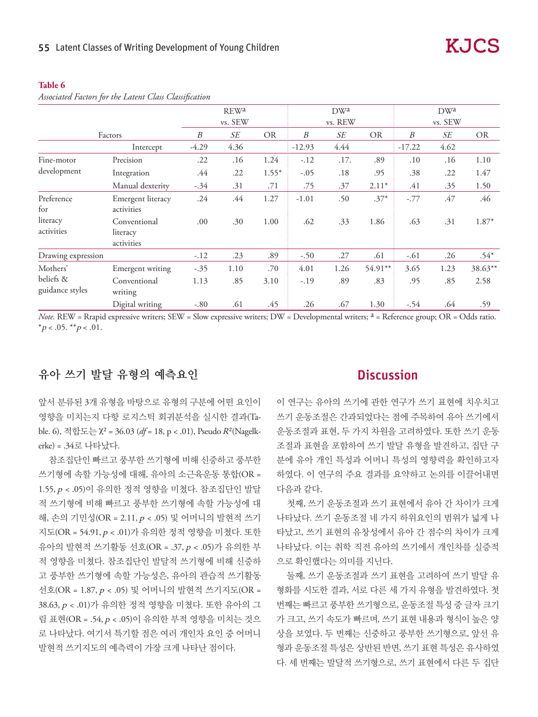#### **Table 6**

|                                          |                                        |         | REW <sup>a</sup><br>vs. SEW |           |                  | DWa<br>vs. REW |           |          | DW <sup>a</sup><br>vs. SEW |           |
|------------------------------------------|----------------------------------------|---------|-----------------------------|-----------|------------------|----------------|-----------|----------|----------------------------|-----------|
|                                          |                                        |         |                             |           |                  |                |           |          |                            |           |
|                                          | Factors                                | B       | SE                          | <b>OR</b> | $\boldsymbol{B}$ | SE             | <b>OR</b> | B        | SE                         | <b>OR</b> |
|                                          | Intercept                              | $-4.29$ | 4.36                        |           | $-12.93$         | 4.44           |           | $-17.22$ | 4.62                       |           |
| Fine-motor                               | Precision                              | .22     | .16                         | 1.24      | $-.12$           | .17.           | .89       | .10      | .16                        | 1.10      |
| development                              | Integration                            | .44     | .22                         | $1.55*$   | $-.05$           | .18            | .95       | .38      | .22                        | 1.47      |
|                                          | Manual dexterity                       | $-.34$  | .31                         | .71       | .75              | .37            | $2.11*$   | .41      | .35                        | 1.50      |
| Preference<br>for                        | Emergent literacy<br>activities        | .24     | .44                         | 1.27      | $-1.01$          | .50            | $.37*$    | $-.77$   | .47                        | .46       |
| literacy<br>activities                   | Conventional<br>literacy<br>activities | .00     | .30                         | 1.00      | .62              | .33            | 1.86      | .63      | .31                        | 1.87*     |
| Drawing expression                       |                                        | $-.12$  | .23                         | .89       | $-.50$           | .27            | .61       | $-.61$   | .26                        | $.54*$    |
| Mothers'<br>beliefs &<br>guidance styles | Emergent writing                       | $-.35$  | 1.10                        | .70       | 4.01             | 1.26           | 54.91**   | 3.65     | 1.23                       | 38.63**   |
|                                          | Conventional<br>writing                | 1.13    | .85                         | 3.10      | $-.19$           | .89            | .83       | .95      | .85                        | 2.58      |
|                                          | Digital writing                        | $-.80$  | .61                         | .45       | .26              | .67            | 1.30      | $-.54$   | .64                        | .59       |

*Associated Factors for the Latent Class Classification*

*Note.* REW = Rrapid expressive writers; SEW = Slow expressive writers; DW = Developmental writers; <sup>a</sup> = Reference group; OR = Odds ratio. \* $p < .05$ . \*\* $p < .01$ .

# 유아 쓰기 발달 유형의 예측요인

앞서 분류된 3개 유형을 바탕으로 유형의 구분에 어떤 요인이 영향을 미치는지 다항 로지스틱 회귀분석을 실시한 결과(Table. 6), 적합도는 χ² = 36.03 (*df* = 18, p < .01), Pseudo R²(Nagelkerke) = .34로 나타났다.

참조집단인 빠르고 풍부한 쓰기형에 비해 신중하고 풍부한 쓰기형에 속할 가능성에 대해, 유아의 소근육운동 통합(OR = 1.55, p < .05)이 유의한 정적 영향을 미쳤다. 참조집단인 발달 적 쓰기형에 비해 빠르고 풍부한 쓰기형에 속할 가능성에 대 해, 손의 기민성(OR = 2.11, p < .05) 및 어머니의 발현적 쓰기 지도(OR = 54.91, p < .01)가 유의한 정적 영향을 미쳤다. 또한 유아의 발현적 쓰기활동 선호(OR = .37, p < .05)가 유의한 부 적 영향을 미쳤다. 참조집단인 발달적 쓰기형에 비해 신중하 고 풍부한 쓰기형에 속할 가능성은, 유아의 관습적 쓰기활동 선호(OR = 1.87, p < .05) 및 어머니의 발현적 쓰기지도(OR = 38.63, p < .01)가 유의한 정적 영향을 미쳤다. 또한 유아의 그 림 표현(OR = .54, p < .05)이 유의한 부적 영향을 미치는 것으 로 나타났다. 여기서 특기할 점은 여러 개인차 요인 중 어머니 발현적 쓰기지도의 예측력이 가장 크게 나타난 점이다.

## **Discussion**

이 연구는 유아의 쓰기에 관한 연구가 쓰기 표현에 치우치고 쓰기 운동조절은 간과되었다는 점에 주목하여 유아 쓰기에서 운동조절과 표현, 두 가지 차원을 고려하였다. 또한 쓰기 운동 조절과 표현을 포함하여 쓰기 발달 유형을 발견하고, 집단 구 분에 유아 개인 특성과 어머니 특성의 영향력을 확인하고자 하였다. 이 연구의 주요 결과를 요약하고 논의를 이끌어내면 다음과 같다.

첫째, 쓰기 운동조절과 쓰기 표현에서 유아 간 차이가 크게 나타났다. 쓰기 운동조절 네 가지 하위요인의 범위가 넓게 나 타났고, 쓰기 표현의 유창성에서 유아 간 점수의 차이가 크게 나타났다. 이는 취학 직전 유아의 쓰기에서 개인차를 실증적 으로 확인했다는 의미를 지닌다.

둘째, 쓰기 운동조절과 쓰기 표현을 고려하여 쓰기 발달 유 형화를 시도한 결과, 서로 다른 세 가지 유형을 발견하였다. 첫 번째는 빠르고 풍부한 쓰기형으로, 운동조절 특성 중 글자 크기 가 크고, 쓰기 속도가 빠르며, 쓰기 표현 내용과 형식이 높은 양 상을 보였다. 두 번째는 신중하고 풍부한 쓰기형으로, 앞선 유 형과 운동조절 특성은 상반된 반면, 쓰기 표현 특성은 유사하였 다. 세 번째는 발달적 쓰기형으로, 쓰기 표현에서 다른 두 집단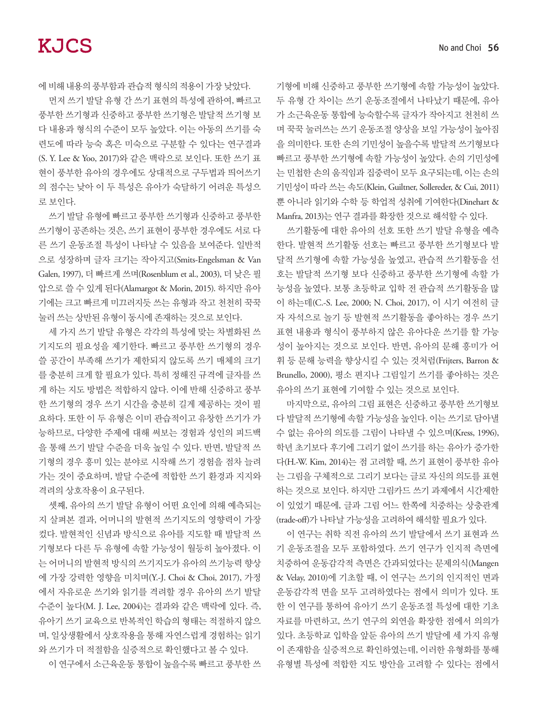에 비해 내용의 풍부함과 관습적 형식의 적용이 가장 낮았다.

먼저 쓰기 발달 유형 간 쓰기 표현의 특성에 관하여, 빠르고 풍부한 쓰기형과 신중하고 풍부한 쓰기형은 발달적 쓰기형 보 다 내용과 형식의 수준이 모두 높았다. 이는 아동의 쓰기를 숙 련도에 따라 능숙 혹은 미숙으로 구분할 수 있다는 연구결과 (S. Y. Lee & Yoo, 2017)와 같은 맥락으로 보인다. 또한 쓰기 표 현이 풍부한 유아의 경우에도 상대적으로 구두법과 띄어쓰기 의 점수는 낮아 이 두 특성은 유아가 숙달하기 어려운 특성으 로 보인다.

쓰기 발달 유형에 빠르고 풍부한 쓰기형과 신중하고 풍부한 쓰기형이 공존하는 것은, 쓰기 표현이 풍부한 경우에도 서로 다 른 쓰기 운동조절 특성이 나타날 수 있음을 보여준다. 일반적 으로 성장하며 글자 크기는 작아지고(Smits-Engelsman & Van Galen, 1997), 더 빠르게 쓰며(Rosenblum et al., 2003), 더 낮은 필 압으로 쓸 수 있게 된다(Alamargot & Morin, 2015). 하지만 유아 기에는 크고 빠르게 미끄러지듯 쓰는 유형과 작고 천천히 꾹꾹 눌러 쓰는 상반된 유형이 동시에 존재하는 것으로 보인다.

세 가지 쓰기 발달 유형은 각각의 특성에 맞는 차별화된 쓰 기지도의 필요성을 제기한다. 빠르고 풍부한 쓰기형의 경우 쓸 공간이 부족해 쓰기가 제한되지 않도록 쓰기 매체의 크기 를 충분히 크게 할 필요가 있다. 특히 정해진 규격에 글자를 쓰 게 하는 지도 방법은 적합하지 않다. 이에 반해 신중하고 풍부 한 쓰기형의 경우 쓰기 시간을 충분히 길게 제공하는 것이 필 요하다. 또한 이 두 유형은 이미 관습적이고 유창한 쓰기가 가 능하므로, 다양한 주제에 대해 써보는 경험과 성인의 피드백 을 통해 쓰기 발달 수준을 더욱 높일 수 있다. 반면, 발달적 쓰 기형의 경우 흥미 있는 분야로 시작해 쓰기 경험을 점차 늘려 가는 것이 중요하며, 발달 수준에 적합한 쓰기 환경과 지지와 격려의 상호작용이 요구된다.

셋째, 유아의 쓰기 발달 유형이 어떤 요인에 의해 예측되는 지 살펴본 결과, 어머니의 발현적 쓰기지도의 영향력이 가장 컸다. 발현적인 신념과 방식으로 유아를 지도할 때 발달적 쓰 기형보다 다른 두 유형에 속할 가능성이 월등히 높아졌다. 이 는 어머니의 발현적 방식의 쓰기지도가 유아의 쓰기능력 향상 에 가장 강력한 영향을 미치며(Y.-J. Choi & Choi, 2017), 가정 에서 자유로운 쓰기와 읽기를 격려할 경우 유아의 쓰기 발달 수준이 높다(M. J. Lee, 2004)는 결과와 같은 맥락에 있다. 즉, 유아기 쓰기 교육으로 반복적인 학습의 형태는 적절하지 않으 며, 일상생활에서 상호작용을 통해 자연스럽게 경험하는 읽기 와 쓰기가 더 적절함을 실증적으로 확인했다고 볼 수 있다.

이 연구에서 소근육운동 통합이 높을수록 빠르고 풍부한 쓰

기형에 비해 신중하고 풍부한 쓰기형에 속할 가능성이 높았다. 두 유형 간 차이는 쓰기 운동조절에서 나타났기 때문에, 유아 가 소근육운동 통합에 능숙할수록 글자가 작아지고 천천히 쓰 며 꾹꾹 눌러쓰는 쓰기 운동조절 양상을 보일 가능성이 높아짐 을 의미한다. 또한 손의 기민성이 높을수록 발달적 쓰기형보다 빠르고 풍부한 쓰기형에 속할 가능성이 높았다. 손의 기민성에 는 민첩한 손의 움직임과 집중력이 모두 요구되는데, 이는 손의 기민성이 따라 쓰는 속도(Klein, Guiltner, Sollereder, & Cui, 2011) 뿐 아니라 읽기와 수학 등 학업적 성취에 기여한다(Dinehart & Manfra, 2013)는 연구 결과를 확장한 것으로 해석할 수 있다.

쓰기활동에 대한 유아의 선호 또한 쓰기 발달 유형을 예측 한다. 발현적 쓰기활동 선호는 빠르고 풍부한 쓰기형보다 발 달적 쓰기형에 속할 가능성을 높였고, 관습적 쓰기활동을 선 호는 발달적 쓰기형 보다 신중하고 풍부한 쓰기형에 속할 가 능성을 높였다. 보통 초등학교 입학 전 관습적 쓰기활동을 많 이 하는데(C.-S. Lee, 2000; N. Choi, 2017), 이 시기 여전히 글 자 자석으로 놀기 등 발현적 쓰기활동을 좋아하는 경우 쓰기 표현 내용과 형식이 풍부하지 않은 유아다운 쓰기를 할 가능 성이 높아지는 것으로 보인다. 반면, 유아의 문해 흥미가 어 휘 등 문해 능력을 향상시킬 수 있는 것처럼(Frijters, Barron & Brunello, 2000), 평소 편지나 그림일기 쓰기를 좋아하는 것은 유아의 쓰기 표현에 기여할 수 있는 것으로 보인다.

마지막으로, 유아의 그림 표현은 신중하고 풍부한 쓰기형보 다 발달적 쓰기형에 속할 가능성을 높인다. 이는 쓰기로 담아낼 수 없는 유아의 의도를 그림이 나타낼 수 있으며(Kress, 1996), 학년 초기보다 후기에 그리기 없이 쓰기를 하는 유아가 증가한 다(H.-W. Kim, 2014)는 점 고려할 때, 쓰기 표현이 풍부한 유아 는 그림을 구체적으로 그리기 보다는 글로 자신의 의도를 표현 하는 것으로 보인다. 하지만 그림카드 쓰기 과제에서 시간제한 이 있었기 때문에, 글과 그림 어느 한쪽에 치중하는 상충관계 (trade-off)가 나타날 가능성을 고려하여 해석할 필요가 있다.

이 연구는 취학 직전 유아의 쓰기 발달에서 쓰기 표현과 쓰 기 운동조절을 모두 포함하였다. 쓰기 연구가 인지적 측면에 치중하여 운동감각적 측면은 간과되었다는 문제의식(Mangen & Velay, 2010)에 기초할 때, 이 연구는 쓰기의 인지적인 면과 운동감각적 면을 모두 고려하였다는 점에서 의미가 있다. 또 한 이 연구를 통하여 유아기 쓰기 운동조절 특성에 대한 기초 자료를 마련하고, 쓰기 연구의 외연을 확장한 점에서 의의가 있다. 초등학교 입학을 앞둔 유아의 쓰기 발달에 세 가지 유형 이 존재함을 실증적으로 확인하였는데, 이러한 유형화를 통해 유형별 특성에 적합한 지도 방안을 고려할 수 있다는 점에서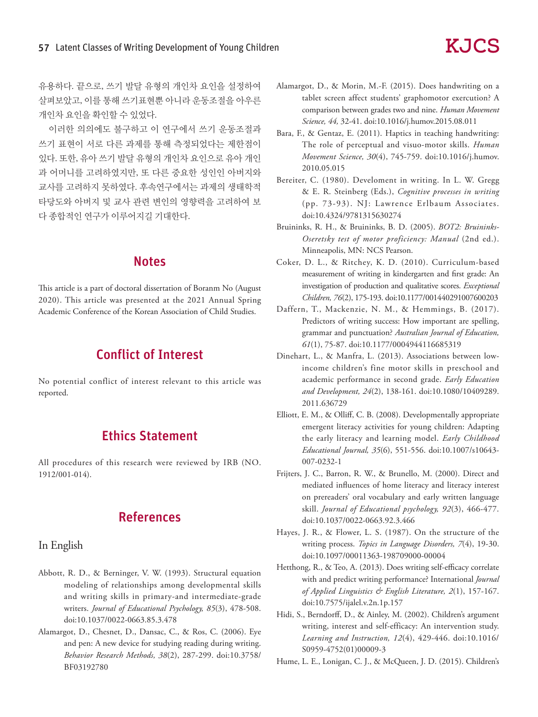유용하다. 끝으로, 쓰기 발달 유형의 개인차 요인을 설정하여 살펴보았고, 이를 통해 쓰기표현뿐 아니라 운동조절을 아우른 개인차 요인을 확인할 수 있었다.

이러한 의의에도 불구하고 이 연구에서 쓰기 운동조절과 쓰기 표현이 서로 다른 과제를 통해 측정되었다는 제한점이 있다. 또한, 유아 쓰기 발달 유형의 개인차 요인으로 유아 개인 과 어머니를 고려하였지만, 또 다른 중요한 성인인 아버지와 교사를 고려하지 못하였다. 후속연구에서는 과제의 생태학적 타당도와 아버지 및 교사 관련 변인의 영향력을 고려하여 보 다 종합적인 연구가 이루어지길 기대한다.

# **Notes**

This article is a part of doctoral dissertation of Boranm No (August 2020). This article was presented at the 2021 Annual Spring Academic Conference of the Korean Association of Child Studies.

# Conflict of Interest

No potential conflict of interest relevant to this article was reported.

# Ethics Statement

All procedures of this research were reviewed by IRB (NO. 1912/001-014).

# References

### In English

- Abbott, R. D., & Berninger, V. W. (1993). Structural equation modeling of relationships among developmental skills and writing skills in primary-and intermediate-grade writers. *Journal of Educational Psychology, 85*(3), 478-508. doi:10.1037/0022-0663.85.3.478
- Alamargot, D., Chesnet, D., Dansac, C., & Ros, C. (2006). Eye and pen: A new device for studying reading during writing. *Behavior Research Methods, 38*(2), 287-299. doi:10.3758/ BF03192780
- Alamargot, D., & Morin, M.-F. (2015). Does handwriting on a tablet screen affect students' graphomotor exercution? A comparison between grades two and nine. *Human Movement Science, 44,* 32-41. doi:10.1016/j.humov.2015.08.011
- Bara, F., & Gentaz, E. (2011). Haptics in teaching handwriting: The role of perceptual and visuo-motor skills. *Human Movement Science, 30*(4), 745-759. doi:10.1016/j.humov. 2010.05.015
- Bereiter, C. (1980). Develoment in writing. In L. W. Gregg & E. R. Steinberg (Eds.), *Cognitive processes in writing* (pp. 73-93). NJ: Lawrence Erlbaum Associates. doi:10.4324/9781315630274
- Bruininks, R. H., & Bruininks, B. D. (2005). *BOT2: Bruininks-Oseretsky test of motor proficiency: Manual* (2nd ed.). Minneapolis, MN: NCS Pearson.
- Coker, D. L., & Ritchey, K. D. (2010). Curriculum-based measurement of writing in kindergarten and first grade: An investigation of production and qualitative scores. *Exceptional Children, 76*(2), 175-193. doi:10.1177/001440291007600203
- Daffern, T., Mackenzie, N. M., & Hemmings, B. (2017). Predictors of writing success: How important are spelling, grammar and punctuation? *Australian Journal of Education, 61*(1), 75-87. doi:10.1177/0004944116685319
- Dinehart, L., & Manfra, L. (2013). Associations between lowincome children's fine motor skills in preschool and academic performance in second grade. *Early Education and Development, 24*(2), 138-161. doi:10.1080/10409289. 2011.636729
- Elliott, E. M., & Olliff, C. B. (2008). Developmentally appropriate emergent literacy activities for young children: Adapting the early literacy and learning model. *Early Childhood Educational Journal, 35*(6), 551-556. doi:10.1007/s10643- 007-0232-1
- Frijters, J. C., Barron, R. W., & Brunello, M. (2000). Direct and mediated influences of home literacy and literacy interest on prereaders' oral vocabulary and early written language skill. *Journal of Educational psychology, 92*(3), 466-477. doi:10.1037/0022-0663.92.3.466
- Hayes, J. R., & Flower, L. S. (1987). On the structure of the writing process. *Topics in Language Disorders, 7*(4), 19-30. doi:10.1097/00011363-198709000-00004
- Hetthong, R., & Teo, A. (2013). Does writing self-efficacy correlate with and predict writing performance? International *Journal of Applied Linguistics & English Literature, 2*(1), 157-167. doi:10.7575/ijalel.v.2n.1p.157
- Hidi, S., Berndorff, D., & Ainley, M. (2002). Children's argument writing, interest and self-efficacy: An intervention study. *Learning and Instruction, 12*(4), 429-446. doi:10.1016/ S0959-4752(01)00009-3
- Hume, L. E., Lonigan, C. J., & McQueen, J. D. (2015). Children's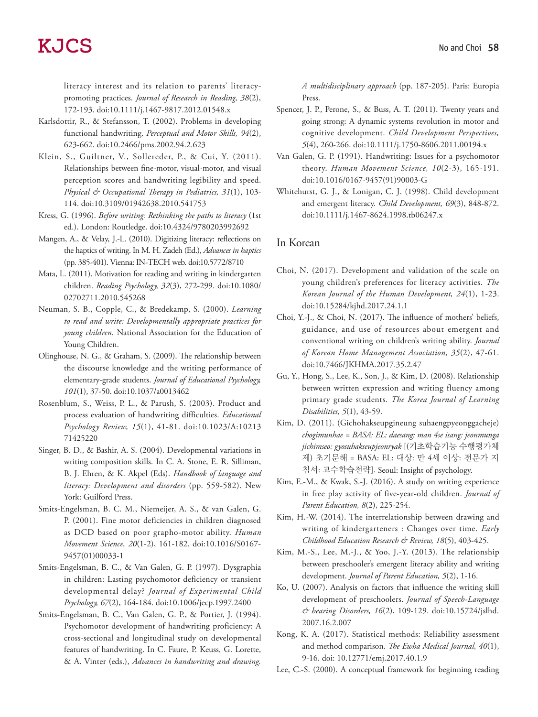literacy interest and its relation to parents' literacy‐ promoting practices. *Journal of Research in Reading, 38*(2), 172-193. doi:10.1111/j.1467-9817.2012.01548.x

- Karlsdottir, R., & Stefansson, T. (2002). Problems in developing functional handwriting. *Perceptual and Motor Skills, 94*(2), 623-662. doi:10.2466/pms.2002.94.2.623
- Klein, S., Guiltner, V., Sollereder, P., & Cui, Y. (2011). Relationships between fine-motor, visual-motor, and visual perception scores and handwriting legibility and speed. *Physical & Occupational Therapy in Pediatrics, 31*(1), 103- 114. doi:10.3109/01942638.2010.541753
- Kress, G. (1996). *Before writing: Rethinking the paths to literacy* (1st ed.). London: Routledge. doi:10.4324/9780203992692
- Mangen, A., & Velay, J.-L. (2010). Digitizing literacy: reflections on the haptics of writing. In M. H. Zadeh (Ed.), *Advances in haptics* (pp. 385-401). Vienna: IN-TECH web. doi:10.5772/8710
- Mata, L. (2011). Motivation for reading and writing in kindergarten children. *Reading Psychology, 32*(3), 272-299. doi:10.1080/ 02702711.2010.545268
- Neuman, S. B., Copple, C., & Bredekamp, S. (2000). *Learning to read and write: Developmentally appropriate practices for young children.* National Association for the Education of Young Children.
- Olinghouse, N. G., & Graham, S. (2009). The relationship between the discourse knowledge and the writing performance of elementary-grade students. *Journal of Educational Psychology, 101*(1), 37-50. doi:10.1037/a0013462
- Rosenblum, S., Weiss, P. L., & Parush, S. (2003). Product and process evaluation of handwriting difficulties. *Educational Psychology Review, 15*(1), 41-81. doi:10.1023/A:10213 71425220
- Singer, B. D., & Bashir, A. S. (2004). Developmental variations in writing composition skills. In C. A. Stone, E. R. Silliman, B. J. Ehren, & K. Akpel (Eds). *Handbook of language and literacy: Development and disorders* (pp. 559-582). New York: Guilford Press.
- Smits-Engelsman, B. C. M., Niemeijer, A. S., & van Galen, G. P. (2001). Fine motor deficiencies in children diagnosed as DCD based on poor grapho-motor ability. *Human Movement Science, 20*(1-2), 161-182. doi:10.1016/S0167- 9457(01)00033-1
- Smits-Engelsman, B. C., & Van Galen, G. P. (1997). Dysgraphia in children: Lasting psychomotor deficiency or transient developmental delay? *Journal of Experimental Child Psychology, 67*(2), 164-184. doi:10.1006/jecp.1997.2400
- Smits-Engelsman, B. C., Van Galen, G. P., & Portier, J. (1994). Psychomotor development of handwriting proficiency: A cross-sectional and longitudinal study on developmental features of handwriting. In C. Faure, P. Keuss, G. Lorette, & A. Vinter (eds.), *Advances in handwriting and drawing.*

*A multidisciplinary approach* (pp. 187-205). Paris: Europia Press.

- Spencer, J. P., Perone, S., & Buss, A. T. (2011). Twenty years and going strong: A dynamic systems revolution in motor and cognitive development. *Child Development Perspectives, 5*(4), 260-266. doi:10.1111/j.1750-8606.2011.00194.x
- Van Galen, G. P. (1991). Handwriting: Issues for a psychomotor theory. *Human Movement Science, 10*(2-3), 165-191. doi:10.1016/0167-9457(91)90003-G
- Whitehurst, G. J., & Lonigan, C. J. (1998). Child development and emergent literacy. *Child Development, 69*(3), 848-872. doi:10.1111/j.1467-8624.1998.tb06247.x

#### In Korean

- Choi, N. (2017). Development and validation of the scale on young children's preferences for literacy activities. *The Korean Journal of the Human Development, 24*(1), 1-23. doi:10.15284/kjhd.2017.24.1.1
- Choi, Y.-J., & Choi, N. (2017). The influence of mothers' beliefs, guidance, and use of resources about emergent and conventional writing on children's writing ability. *Journal of Korean Home Management Association, 35*(2), 47-61. doi:10.7466/JKHMA.2017.35.2.47
- Gu, Y., Hong, S., Lee, K., Son, J., & Kim, D. (2008). Relationship between written expression and writing fluency among primary grade students. *The Korea Journal of Learning Disabilities, 5*(1), 43-59.
- Kim, D. (2011). (Gichohakseupgineung suhaengpyeonggacheje) *chogimunhae = BASA: EL: daesang: man 4se isang: jeonmunga jichimseo: gyosuhakseupjeonryak* [(기초학습기능 수행평가체 제) 초기문해 = BASA: EL: 대상: 만 4세 이상: 전문가 지 침서: 교수학습전략]. Seoul: Insight of psychology.
- Kim, E.-M., & Kwak, S.-J. (2016). A study on writing experience in free play activity of five-year-old children. *Journal of Parent Education, 8*(2), 225-254.
- Kim, H.-W. (2014). The interrelationship between drawing and writing of kindergarteners : Changes over time. *Early Childhood Education Research & Review, 18*(5), 403-425.
- Kim, M.-S., Lee, M.-J., & Yoo, J.-Y. (2013). The relationship between preschooler's emergent literacy ability and writing development. *Journal of Parent Education, 5*(2), 1-16.
- Ko, U. (2007). Analysis on factors that influence the writing skill development of preschoolers. *Journal of Speech-Language & hearing Disorders, 16*(2), 109-129. doi:10.15724/jslhd. 2007.16.2.007
- Kong, K. A. (2017). Statistical methods: Reliability assessment and method comparison. *The Ewha Medical Journal, 40*(1), 9-16. doi: 10.12771/emj.2017.40.1.9
- Lee, C.-S. (2000). A conceptual framework for beginning reading